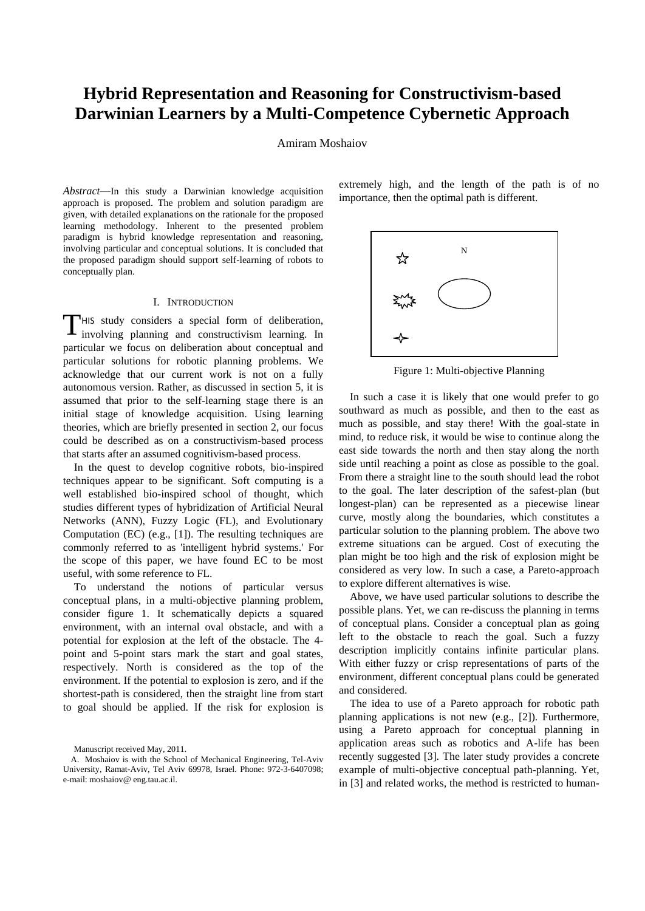# **Hybrid Representation and Reasoning for Constructivism-based Darwinian Learners by a Multi-Competence Cybernetic Approach**

Amiram Moshaiov

*Abstract*—In this study a Darwinian knowledge acquisition approach is proposed. The problem and solution paradigm are given, with detailed explanations on the rationale for the proposed learning methodology. Inherent to the presented problem paradigm is hybrid knowledge representation and reasoning, involving particular and conceptual solutions. It is concluded that the proposed paradigm should support self-learning of robots to conceptually plan.

# I. INTRODUCTION

HIS study considers a special form of deliberation, THIS study considers a special form of deliberation, involving planning and constructivism learning. In particular we focus on deliberation about conceptual and particular solutions for robotic planning problems. We acknowledge that our current work is not on a fully autonomous version. Rather, as discussed in section 5, it is assumed that prior to the self-learning stage there is an initial stage of knowledge acquisition. Using learning theories, which are briefly presented in section 2, our focus could be described as on a constructivism-based process that starts after an assumed cognitivism-based process.

In the quest to develop cognitive robots, bio-inspired techniques appear to be significant. Soft computing is a well established bio-inspired school of thought, which studies different types of hybridization of Artificial Neural Networks (ANN), Fuzzy Logic (FL), and Evolutionary Computation (EC) (e.g., [1]). The resulting techniques are commonly referred to as 'intelligent hybrid systems.' For the scope of this paper, we have found EC to be most useful, with some reference to FL.

To understand the notions of particular versus conceptual plans, in a multi-objective planning problem, consider figure 1. It schematically depicts a squared environment, with an internal oval obstacle, and with a potential for explosion at the left of the obstacle. The 4 point and 5-point stars mark the start and goal states, respectively. North is considered as the top of the environment. If the potential to explosion is zero, and if the shortest-path is considered, then the straight line from start to goal should be applied. If the risk for explosion is

Manuscript received May, 2011.

extremely high, and the length of the path is of no importance, then the optimal path is different.



Figure 1: Multi-objective Planning

In such a case it is likely that one would prefer to go southward as much as possible, and then to the east as much as possible, and stay there! With the goal-state in mind, to reduce risk, it would be wise to continue along the east side towards the north and then stay along the north side until reaching a point as close as possible to the goal. From there a straight line to the south should lead the robot to the goal. The later description of the safest-plan (but longest-plan) can be represented as a piecewise linear curve, mostly along the boundaries, which constitutes a particular solution to the planning problem. The above two extreme situations can be argued. Cost of executing the plan might be too high and the risk of explosion might be considered as very low. In such a case, a Pareto-approach to explore different alternatives is wise.

Above, we have used particular solutions to describe the possible plans. Yet, we can re-discuss the planning in terms of conceptual plans. Consider a conceptual plan as going left to the obstacle to reach the goal. Such a fuzzy description implicitly contains infinite particular plans. With either fuzzy or crisp representations of parts of the environment, different conceptual plans could be generated and considered.

The idea to use of a Pareto approach for robotic path planning applications is not new (e.g., [2]). Furthermore, using a Pareto approach for conceptual planning in application areas such as robotics and A-life has been recently suggested [3]. The later study provides a concrete example of multi-objective conceptual path-planning. Yet, in [3] and related works, the method is restricted to human-

A. Moshaiov is with the School of Mechanical Engineering, Tel-Aviv University, Ramat-Aviv, Tel Aviv 69978, Israel. Phone: 972-3-6407098; e-mail: moshaiov@ eng.tau.ac.il.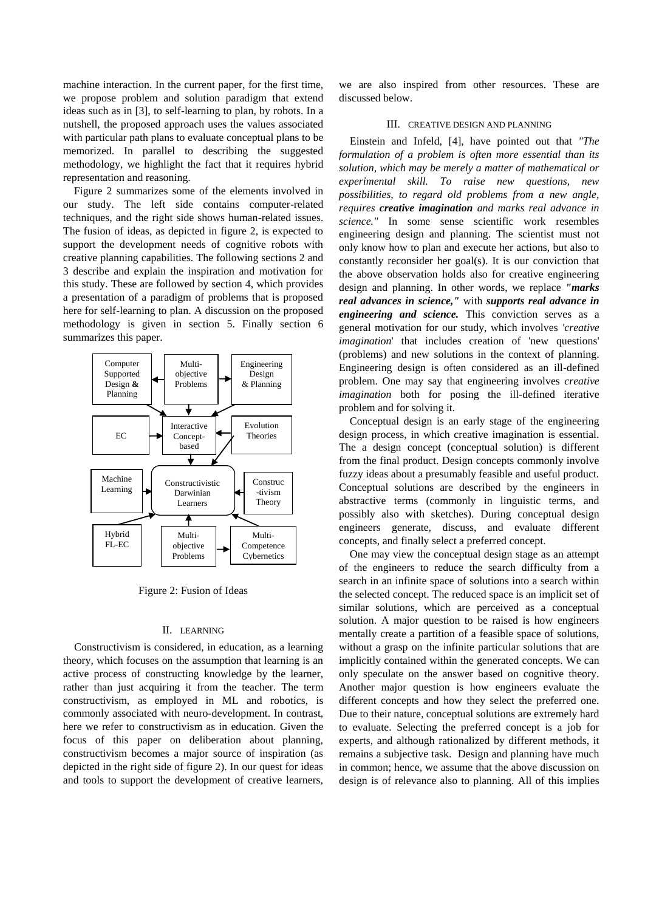machine interaction. In the current paper, for the first time, we propose problem and solution paradigm that extend ideas such as in [3], to self-learning to plan, by robots. In a nutshell, the proposed approach uses the values associated with particular path plans to evaluate conceptual plans to be memorized. In parallel to describing the suggested methodology, we highlight the fact that it requires hybrid representation and reasoning.

Figure 2 summarizes some of the elements involved in our study. The left side contains computer-related techniques, and the right side shows human-related issues. The fusion of ideas, as depicted in figure 2, is expected to support the development needs of cognitive robots with creative planning capabilities. The following sections 2 and 3 describe and explain the inspiration and motivation for this study. These are followed by section 4, which provides a presentation of a paradigm of problems that is proposed here for self-learning to plan. A discussion on the proposed methodology is given in section 5. Finally section 6 summarizes this paper.



Figure 2: Fusion of Ideas **y**

## II. LEARNING

Constructivism is considered, in education, as a learning theory, which focuses on the assumption that learning is an active process of constructing knowledge by the learner, rather than just acquiring it from the teacher. The term constructivism, as employed in ML and robotics, is commonly associated with neuro-development. In contrast, here we refer to constructivism as in education. Given the focus of this paper on deliberation about planning, constructivism becomes a major source of inspiration (as depicted in the right side of figure 2). In our quest for ideas and tools to support the development of creative learners,

we are also inspired from other resources. These are discussed below.

# III. CREATIVE DESIGN AND PLANNING

Einstein and Infeld, [4], have pointed out that *"The formulation of a problem is often more essential than its solution, which may be merely a matter of mathematical or experimental skill. To raise new questions, new possibilities, to regard old problems from a new angle, requires creative imagination and marks real advance in science."* In some sense scientific work resembles engineering design and planning. The scientist must not only know how to plan and execute her actions, but also to constantly reconsider her goal(s). It is our conviction that the above observation holds also for creative engineering design and planning. In other words, we replace *"marks real advances in science,"* with *supports real advance in engineering and science.* This conviction serves as a general motivation for our study, which involves *'creative imagination*' that includes creation of 'new questions' (problems) and new solutions in the context of planning. Engineering design is often considered as an ill-defined problem. One may say that engineering involves *creative imagination* both for posing the ill-defined iterative problem and for solving it.

Conceptual design is an early stage of the engineering design process, in which creative imagination is essential. The a design concept (conceptual solution) is different from the final product. Design concepts commonly involve fuzzy ideas about a presumably feasible and useful product. Conceptual solutions are described by the engineers in abstractive terms (commonly in linguistic terms, and possibly also with sketches). During conceptual design engineers generate, discuss, and evaluate different concepts, and finally select a preferred concept.

One may view the conceptual design stage as an attempt of the engineers to reduce the search difficulty from a search in an infinite space of solutions into a search within the selected concept. The reduced space is an implicit set of similar solutions, which are perceived as a conceptual solution. A major question to be raised is how engineers mentally create a partition of a feasible space of solutions, without a grasp on the infinite particular solutions that are implicitly contained within the generated concepts. We can only speculate on the answer based on cognitive theory. Another major question is how engineers evaluate the different concepts and how they select the preferred one. Due to their nature, conceptual solutions are extremely hard to evaluate. Selecting the preferred concept is a job for experts, and although rationalized by different methods, it remains a subjective task. Design and planning have much in common; hence, we assume that the above discussion on design is of relevance also to planning. All of this implies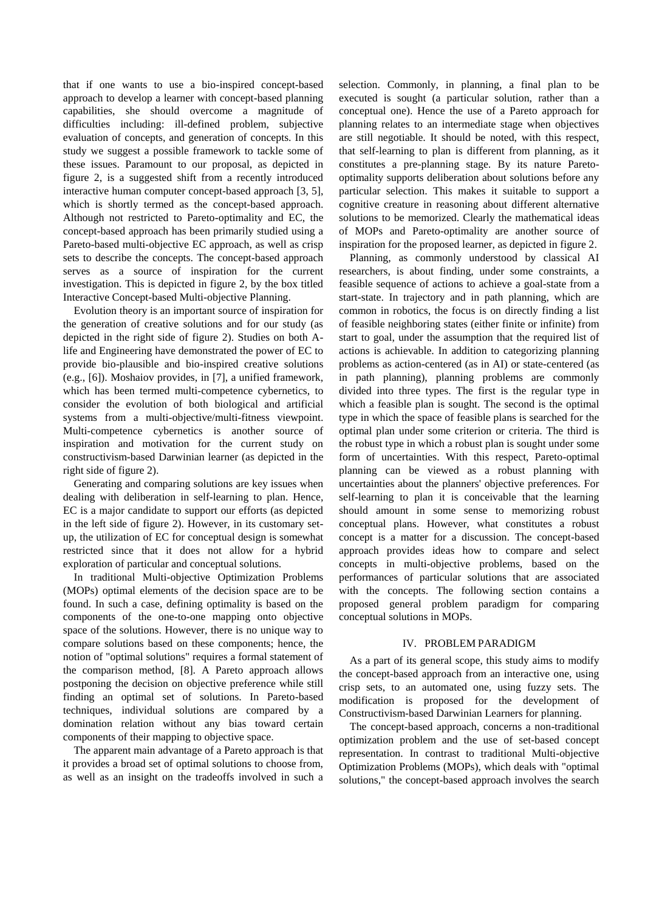that if one wants to use a bio-inspired concept-based approach to develop a learner with concept-based planning capabilities, she should overcome a magnitude of difficulties including: ill-defined problem, subjective evaluation of concepts, and generation of concepts. In this study we suggest a possible framework to tackle some of these issues. Paramount to our proposal, as depicted in figure 2, is a suggested shift from a recently introduced interactive human computer concept-based approach [3, 5], which is shortly termed as the concept-based approach. Although not restricted to Pareto-optimality and EC, the concept-based approach has been primarily studied using a Pareto-based multi-objective EC approach, as well as crisp sets to describe the concepts. The concept-based approach serves as a source of inspiration for the current investigation. This is depicted in figure 2, by the box titled Interactive Concept-based Multi-objective Planning.

Evolution theory is an important source of inspiration for the generation of creative solutions and for our study (as depicted in the right side of figure 2). Studies on both Alife and Engineering have demonstrated the power of EC to provide bio-plausible and bio-inspired creative solutions (e.g., [6]). Moshaiov provides, in [7], a unified framework, which has been termed multi-competence cybernetics, to consider the evolution of both biological and artificial systems from a multi-objective/multi-fitness viewpoint. Multi-competence cybernetics is another source of inspiration and motivation for the current study on constructivism-based Darwinian learner (as depicted in the right side of figure 2).

Generating and comparing solutions are key issues when dealing with deliberation in self-learning to plan. Hence, EC is a major candidate to support our efforts (as depicted in the left side of figure 2). However, in its customary setup, the utilization of EC for conceptual design is somewhat restricted since that it does not allow for a hybrid exploration of particular and conceptual solutions.

In traditional Multi-objective Optimization Problems (MOPs) optimal elements of the decision space are to be found. In such a case, defining optimality is based on the components of the one-to-one mapping onto objective space of the solutions. However, there is no unique way to compare solutions based on these components; hence, the notion of "optimal solutions" requires a formal statement of the comparison method, [8]. A Pareto approach allows postponing the decision on objective preference while still finding an optimal set of solutions. In Pareto-based techniques, individual solutions are compared by a domination relation without any bias toward certain components of their mapping to objective space.

The apparent main advantage of a Pareto approach is that it provides a broad set of optimal solutions to choose from, as well as an insight on the tradeoffs involved in such a

selection. Commonly, in planning, a final plan to be executed is sought (a particular solution, rather than a conceptual one). Hence the use of a Pareto approach for planning relates to an intermediate stage when objectives are still negotiable. It should be noted, with this respect, that self-learning to plan is different from planning, as it constitutes a pre-planning stage. By its nature Paretooptimality supports deliberation about solutions before any particular selection. This makes it suitable to support a cognitive creature in reasoning about different alternative solutions to be memorized. Clearly the mathematical ideas of MOPs and Pareto-optimality are another source of inspiration for the proposed learner, as depicted in figure 2.

Planning, as commonly understood by classical AI researchers, is about finding, under some constraints, a feasible sequence of actions to achieve a goal-state from a start-state. In trajectory and in path planning, which are common in robotics, the focus is on directly finding a list of feasible neighboring states (either finite or infinite) from start to goal, under the assumption that the required list of actions is achievable. In addition to categorizing planning problems as action-centered (as in AI) or state-centered (as in path planning), planning problems are commonly divided into three types. The first is the regular type in which a feasible plan is sought. The second is the optimal type in which the space of feasible plans is searched for the optimal plan under some criterion or criteria. The third is the robust type in which a robust plan is sought under some form of uncertainties. With this respect, Pareto-optimal planning can be viewed as a robust planning with uncertainties about the planners' objective preferences. For self-learning to plan it is conceivable that the learning should amount in some sense to memorizing robust conceptual plans. However, what constitutes a robust concept is a matter for a discussion. The concept-based approach provides ideas how to compare and select concepts in multi-objective problems, based on the performances of particular solutions that are associated with the concepts. The following section contains a proposed general problem paradigm for comparing conceptual solutions in MOPs.

# IV. PROBLEM PARADIGM

As a part of its general scope, this study aims to modify the concept-based approach from an interactive one, using crisp sets, to an automated one, using fuzzy sets. The modification is proposed for the development of Constructivism-based Darwinian Learners for planning.

The concept-based approach, concerns a non-traditional optimization problem and the use of set-based concept representation. In contrast to traditional Multi-objective Optimization Problems (MOPs), which deals with "optimal solutions," the concept-based approach involves the search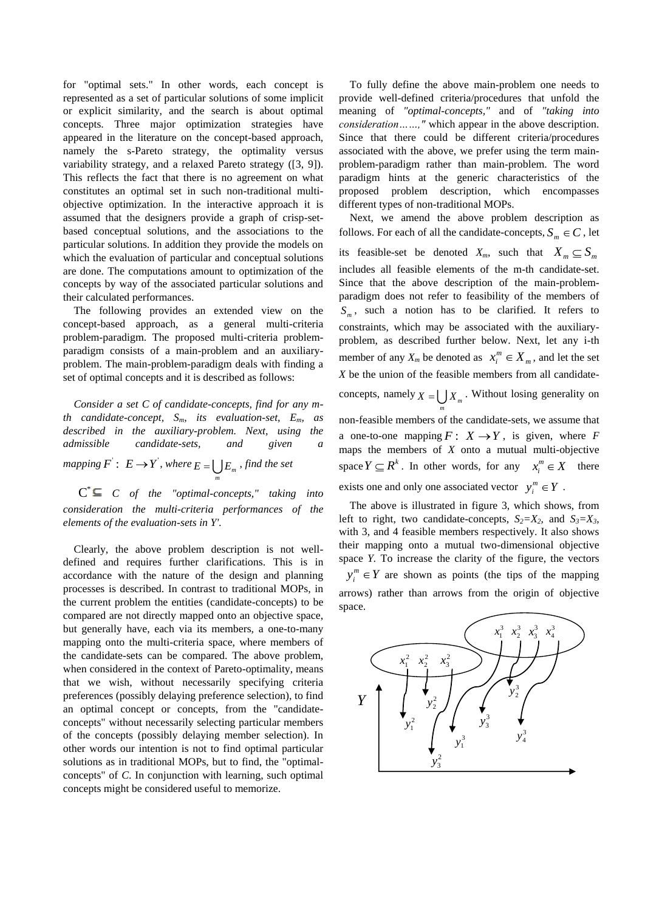for "optimal sets." In other words, each concept is represented as a set of particular solutions of some implicit or explicit similarity, and the search is about optimal concepts. Three major optimization strategies have appeared in the literature on the concept-based approach, namely the s-Pareto strategy, the optimality versus variability strategy, and a relaxed Pareto strategy ([3, 9]). This reflects the fact that there is no agreement on what constitutes an optimal set in such non-traditional multiobjective optimization. In the interactive approach it is assumed that the designers provide a graph of crisp-setbased conceptual solutions, and the associations to the particular solutions. In addition they provide the models on which the evaluation of particular and conceptual solutions are done. The computations amount to optimization of the concepts by way of the associated particular solutions and their calculated performances.

The following provides an extended view on the concept-based approach, as a general multi-criteria problem-paradigm. The proposed multi-criteria problemparadigm consists of a main-problem and an auxiliaryproblem. The main-problem-paradigm deals with finding a set of optimal concepts and it is described as follows:

*Consider a set C of candidate-concepts, find for any mth candidate-concept, Sm, its evaluation-set, Em, as described in the auxiliary-problem. Next, using the admissible candidate-sets, and given a mapping*  $F^{\prime}$  :  $E \rightarrow Y^{\prime}$ , where  $E = \bigcup E_{m}$  , find the set

 $C^* \subseteq C$  of the "optimal-concepts," taking into *consideration the multi-criteria performances of the elements of the evaluation-sets in Y'.*

*m*

Clearly, the above problem description is not welldefined and requires further clarifications. This is in accordance with the nature of the design and planning processes is described. In contrast to traditional MOPs, in the current problem the entities (candidate-concepts) to be compared are not directly mapped onto an objective space, but generally have, each via its members, a one-to-many mapping onto the multi-criteria space, where members of the candidate-sets can be compared. The above problem, when considered in the context of Pareto-optimality, means that we wish, without necessarily specifying criteria preferences (possibly delaying preference selection), to find an optimal concept or concepts, from the "candidateconcepts" without necessarily selecting particular members of the concepts (possibly delaying member selection). In other words our intention is not to find optimal particular solutions as in traditional MOPs, but to find, the "optimalconcepts" of *C*. In conjunction with learning, such optimal concepts might be considered useful to memorize.

To fully define the above main-problem one needs to provide well-defined criteria/procedures that unfold the meaning of *"optimal-concepts,"* and of *"taking into consideration……,"* which appear in the above description. Since that there could be different criteria/procedures associated with the above, we prefer using the term mainproblem-paradigm rather than main-problem. The word paradigm hints at the generic characteristics of the proposed problem description, which encompasses different types of non-traditional MOPs.

Next, we amend the above problem description as follows. For each of all the candidate-concepts,  $S_m \in \mathbb{C}$ , let its feasible-set be denoted  $X_m$ , such that  $X_m \subseteq S_m$ includes all feasible elements of the m-th candidate-set. Since that the above description of the main-problemparadigm does not refer to feasibility of the members of  $S_m$ , such a notion has to be clarified. It refers to constraints, which may be associated with the auxiliaryproblem, as described further below. Next, let any i-th member of any  $X_m$  be denoted as  $x_i^m \in X_m$  $x_i^m \in X_m$ , and let the set *X* be the union of the feasible members from all candidateconcepts, namely  $X = \bigcup X_m$ . Without losing generality on *m* non-feasible members of the candidate-sets, we assume that a one-to-one mapping  $F: X \to Y$ , is given, where *F* maps the members of *X* onto a mutual multi-objective space  $Y \subseteq R^k$ . In other words, for any  $x_i^m \in X$  there exists one and only one associated vector  $y_i^m \in Y$ .

The above is illustrated in figure 3, which shows, from left to right, two candidate-concepts,  $S_2 = X_2$ , and  $S_3 = X_3$ *,* with 3, and 4 feasible members respectively. It also shows their mapping onto a mutual two-dimensional objective space *Y.* To increase the clarity of the figure, the vectors  $y_i^m \in Y$  are shown as points (the tips of the mapping arrows) rather than arrows from the origin of objective space.

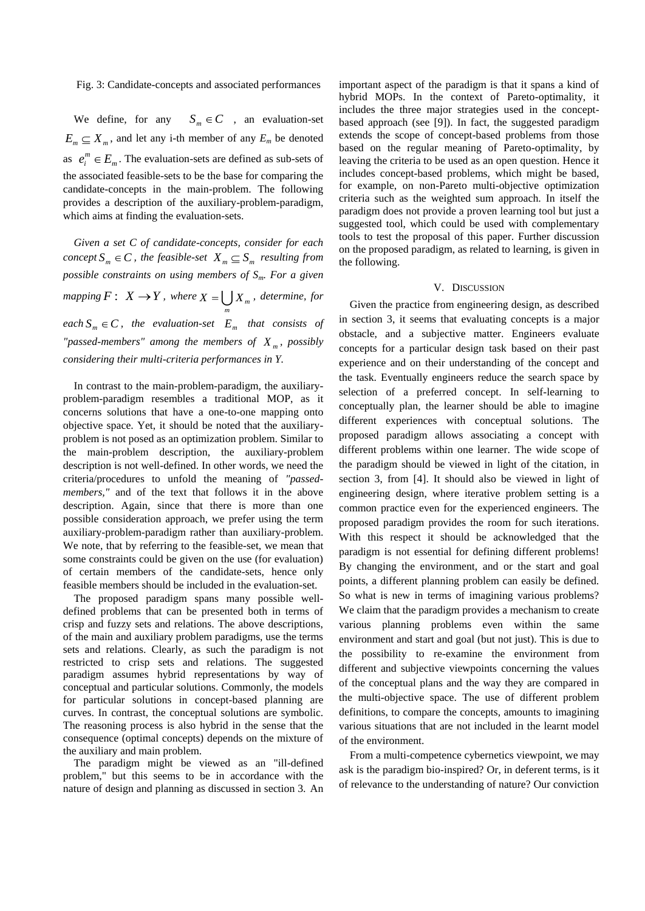## Fig. 3: Candidate-concepts and associated performances

We define, for any  $S_m \in \mathbb{C}$ , an evaluation-set  $E_m \subseteq X_m$ , and let any i-th member of any  $E_m$  be denoted as  $e_i^m \in E_m$  $e_i^m \in E_m$ . The evaluation-sets are defined as sub-sets of the associated feasible-sets to be the base for comparing the candidate-concepts in the main-problem. The following provides a description of the auxiliary-problem-paradigm, which aims at finding the evaluation-sets.

*Given a set C of candidate-concepts, consider for each concept*  $S_m \in \mathbb{C}$ , the feasible-set  $X_m \subseteq S_m$  resulting from *possible constraints on using members of Sm. For a given mapping*  $F: X \to Y$ , where  $X = \bigcup X_m$ , determine, for *m*  $\mathcal{L}_{m} \in \mathbb{C}$ , the evaluation-set  $E_m$  that consists of *"passed-members" among the members of X <sup>m</sup> , possibly considering their multi-criteria performances in Y.*

In contrast to the main-problem-paradigm, the auxiliaryproblem-paradigm resembles a traditional MOP, as it concerns solutions that have a one-to-one mapping onto objective space. Yet, it should be noted that the auxiliaryproblem is not posed as an optimization problem. Similar to the main-problem description, the auxiliary-problem description is not well-defined. In other words, we need the criteria/procedures to unfold the meaning of *"passedmembers,"* and of the text that follows it in the above description. Again, since that there is more than one possible consideration approach, we prefer using the term auxiliary-problem-paradigm rather than auxiliary-problem. We note, that by referring to the feasible-set, we mean that some constraints could be given on the use (for evaluation) of certain members of the candidate-sets, hence only feasible members should be included in the evaluation-set.

The proposed paradigm spans many possible welldefined problems that can be presented both in terms of crisp and fuzzy sets and relations. The above descriptions, of the main and auxiliary problem paradigms, use the terms sets and relations. Clearly, as such the paradigm is not restricted to crisp sets and relations. The suggested paradigm assumes hybrid representations by way of conceptual and particular solutions. Commonly, the models for particular solutions in concept-based planning are curves. In contrast, the conceptual solutions are symbolic. The reasoning process is also hybrid in the sense that the consequence (optimal concepts) depends on the mixture of the auxiliary and main problem.

The paradigm might be viewed as an "ill-defined problem," but this seems to be in accordance with the nature of design and planning as discussed in section 3. An

important aspect of the paradigm is that it spans a kind of hybrid MOPs. In the context of Pareto-optimality, it includes the three major strategies used in the conceptbased approach (see [9]). In fact, the suggested paradigm extends the scope of concept-based problems from those based on the regular meaning of Pareto-optimality, by leaving the criteria to be used as an open question. Hence it includes concept-based problems, which might be based, for example, on non-Pareto multi-objective optimization criteria such as the weighted sum approach. In itself the paradigm does not provide a proven learning tool but just a suggested tool, which could be used with complementary tools to test the proposal of this paper. Further discussion on the proposed paradigm, as related to learning, is given in the following.

#### V. DISCUSSION

Given the practice from engineering design, as described in section 3, it seems that evaluating concepts is a major obstacle, and a subjective matter. Engineers evaluate concepts for a particular design task based on their past experience and on their understanding of the concept and the task. Eventually engineers reduce the search space by selection of a preferred concept. In self-learning to conceptually plan, the learner should be able to imagine different experiences with conceptual solutions. The proposed paradigm allows associating a concept with different problems within one learner. The wide scope of the paradigm should be viewed in light of the citation, in section 3, from [4]. It should also be viewed in light of engineering design, where iterative problem setting is a common practice even for the experienced engineers. The proposed paradigm provides the room for such iterations. With this respect it should be acknowledged that the paradigm is not essential for defining different problems! By changing the environment, and or the start and goal points, a different planning problem can easily be defined. So what is new in terms of imagining various problems? We claim that the paradigm provides a mechanism to create various planning problems even within the same environment and start and goal (but not just). This is due to the possibility to re-examine the environment from different and subjective viewpoints concerning the values of the conceptual plans and the way they are compared in the multi-objective space. The use of different problem definitions, to compare the concepts, amounts to imagining various situations that are not included in the learnt model of the environment.

From a multi-competence cybernetics viewpoint, we may ask is the paradigm bio-inspired? Or, in deferent terms, is it of relevance to the understanding of nature? Our conviction